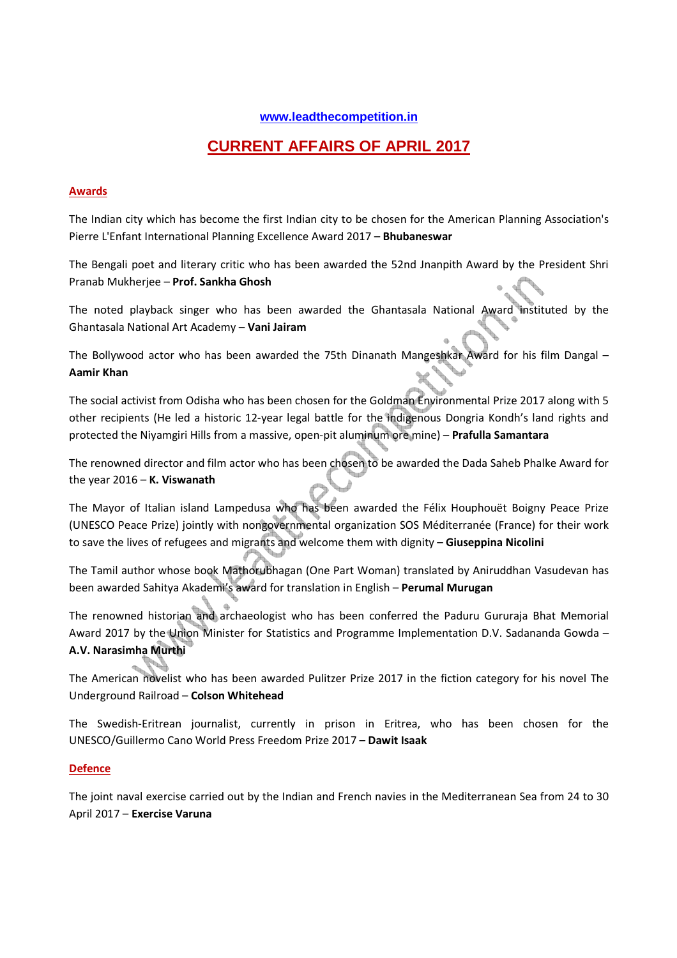# **www.leadthecompetition.in**

# **CURRENT AFFAIRS OF APRIL 2017**

## **Awards**

The Indian city which has become the first Indian city to be chosen for the American Planning Association's Pierre L'Enfant International Planning Excellence Award 2017 – **Bhubaneswar**

The Bengali poet and literary critic who has been awarded the 52nd Jnanpith Award by the President Shri Pranab Mukherjee – **Prof. Sankha Ghosh**

The noted playback singer who has been awarded the Ghantasala National Award instituted by the Ghantasala National Art Academy – **Vani Jairam**

The Bollywood actor who has been awarded the 75th Dinanath Mangeshkar Award for his film Dangal – **Aamir Khan**

The social activist from Odisha who has been chosen for the Goldman Environmental Prize 2017 along with 5 other recipients (He led a historic 12-year legal battle for the indigenous Dongria Kondh's land rights and protected the Niyamgiri Hills from a massive, open-pit aluminum ore mine) – **Prafulla Samantara**

The renowned director and film actor who has been chosen to be awarded the Dada Saheb Phalke Award for the year 2016 – **K. Viswanath**

The Mayor of Italian island Lampedusa who has been awarded the Félix Houphouët Boigny Peace Prize (UNESCO Peace Prize) jointly with nongovernmental organization SOS Méditerranée (France) for their work to save the lives of refugees and migrants and welcome them with dignity – **Giuseppina Nicolini** 

The Tamil author whose book Mathorubhagan (One Part Woman) translated by Aniruddhan Vasudevan has been awarded Sahitya Akademi's award for translation in English – **Perumal Murugan**

The renowned historian and archaeologist who has been conferred the Paduru Gururaja Bhat Memorial Award 2017 by the Union Minister for Statistics and Programme Implementation D.V. Sadananda Gowda – **A.V. Narasimha Murthi**

The American novelist who has been awarded Pulitzer Prize 2017 in the fiction category for his novel The Underground Railroad – **Colson Whitehead** 

The Swedish-Eritrean journalist, currently in prison in Eritrea, who has been chosen for the UNESCO/Guillermo Cano World Press Freedom Prize 2017 – **Dawit Isaak**

## **Defence**

The joint naval exercise carried out by the Indian and French navies in the Mediterranean Sea from 24 to 30 April 2017 – **Exercise Varuna**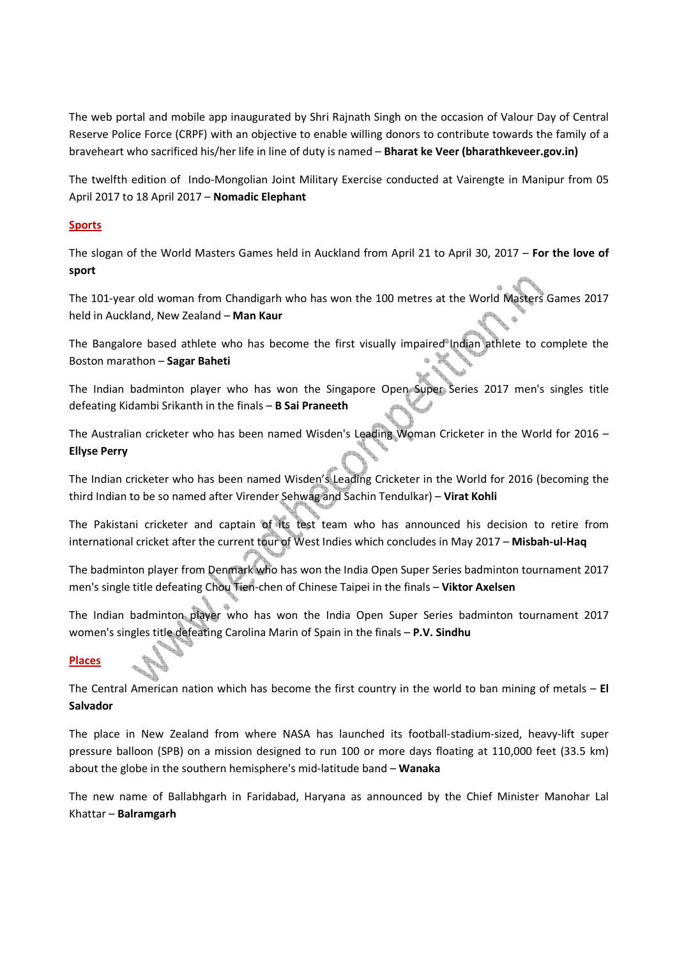The web portal and mobile app inaugurated by Shri Rajnath Singh on the occasion of Valour Day of Central Reserve Police Force (CRPF) with an objective to enable willing donors to contribute towards the family of a braveheart who sacrificed his/her life in line of duty is named – **Bharat ke Veer (bharathkeveer.gov.in)**

The twelfth edition of Indo-Mongolian Joint Military Exercise conducted at Vairengte in Manipur from 05 April 2017 to 18 April 2017 – **Nomadic Elephant**

## **Sports**

The slogan of the World Masters Games held in Auckland from April 21 to April 30, 2017 – **For the love of sport**

The 101-year old woman from Chandigarh who has won the 100 metres at the World Masters Games 2017 held in Auckland, New Zealand – **Man Kaur**

The Bangalore based athlete who has become the first visually impaired Indian athlete to complete the Boston marathon – **Sagar Baheti**

The Indian badminton player who has won the Singapore Open Super Series 2017 men's singles title defeating Kidambi Srikanth in the finals – **B Sai Praneeth**

The Australian cricketer who has been named Wisden's Leading Woman Cricketer in the World for 2016 – **Ellyse Perry**

The Indian cricketer who has been named Wisden's Leading Cricketer in the World for 2016 (becoming the third Indian to be so named after Virender Sehwag and Sachin Tendulkar) – **Virat Kohli** 

The Pakistani cricketer and captain of its test team who has announced his decision to retire from international cricket after the current tour of West Indies which concludes in May 2017 – **Misbah-ul-Haq**

The badminton player from Denmark who has won the India Open Super Series badminton tournament 2017 men's single title defeating Chou Tien-chen of Chinese Taipei in the finals – **Viktor Axelsen**

The Indian badminton player who has won the India Open Super Series badminton tournament 2017 women's singles title defeating Carolina Marin of Spain in the finals – **P.V. Sindhu**

## **Places**

The Central American nation which has become the first country in the world to ban mining of metals – **El Salvador**

The place in New Zealand from where NASA has launched its football-stadium-sized, heavy-lift super pressure balloon (SPB) on a mission designed to run 100 or more days floating at 110,000 feet (33.5 km) about the globe in the southern hemisphere's mid-latitude band – **Wanaka**

The new name of Ballabhgarh in Faridabad, Haryana as announced by the Chief Minister Manohar Lal Khattar – **Balramgarh**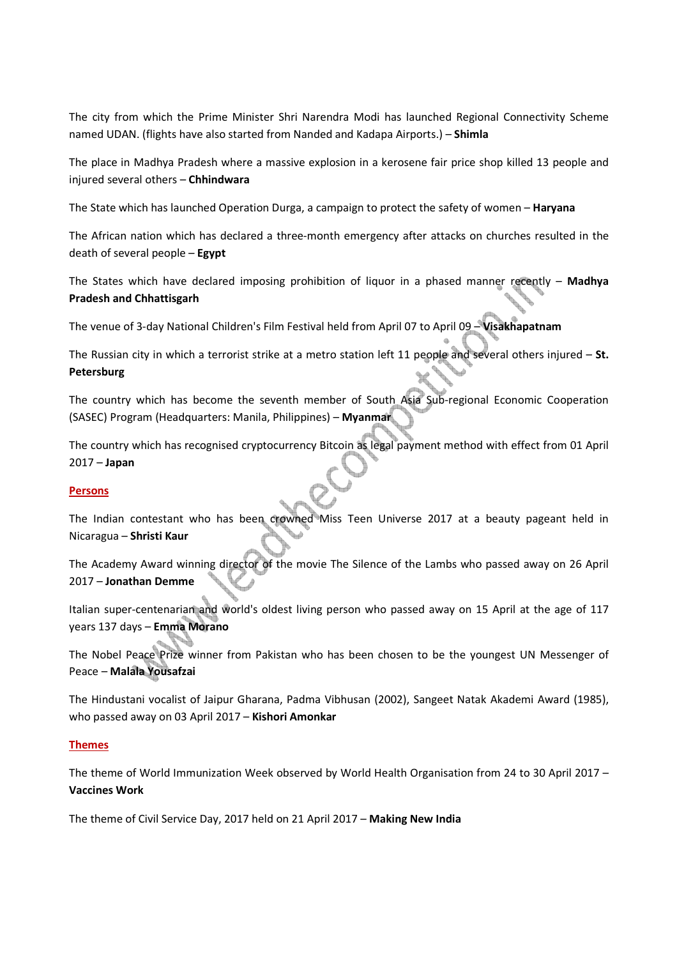The city from which the Prime Minister Shri Narendra Modi has launched Regional Connectivity Scheme named UDAN. (flights have also started from Nanded and Kadapa Airports.) – **Shimla**

The place in Madhya Pradesh where a massive explosion in a kerosene fair price shop killed 13 people and injured several others – **Chhindwara**

The State which has launched Operation Durga, a campaign to protect the safety of women – **Haryana**

The African nation which has declared a three-month emergency after attacks on churches resulted in the death of several people – **Egypt**

The States which have declared imposing prohibition of liquor in a phased manner recently – **Madhya Pradesh and Chhattisgarh**

The venue of 3-day National Children's Film Festival held from April 07 to April 09 – **Visakhapatnam**

The Russian city in which a terrorist strike at a metro station left 11 people and several others injured – **St. Petersburg**

The country which has become the seventh member of South Asia Sub-regional Economic Cooperation (SASEC) Program (Headquarters: Manila, Philippines) – **Myanmar**

The country which has recognised cryptocurrency Bitcoin as legal payment method with effect from 01 April 2017 – **Japan**

## **Persons**

The Indian contestant who has been crowned Miss Teen Universe 2017 at a beauty pageant held in Nicaragua – **Shristi Kaur**

The Academy Award winning director of the movie The Silence of the Lambs who passed away on 26 April 2017 – **Jonathan Demme**

Italian super-centenarian and world's oldest living person who passed away on 15 April at the age of 117 years 137 days – **Emma Morano**

The Nobel Peace Prize winner from Pakistan who has been chosen to be the youngest UN Messenger of Peace – **Malala Yousafzai** 

The Hindustani vocalist of Jaipur Gharana, Padma Vibhusan (2002), Sangeet Natak Akademi Award (1985), who passed away on 03 April 2017 – **Kishori Amonkar**

## **Themes**

The theme of World Immunization Week observed by World Health Organisation from 24 to 30 April 2017 – **Vaccines Work**

The theme of Civil Service Day, 2017 held on 21 April 2017 – **Making New India**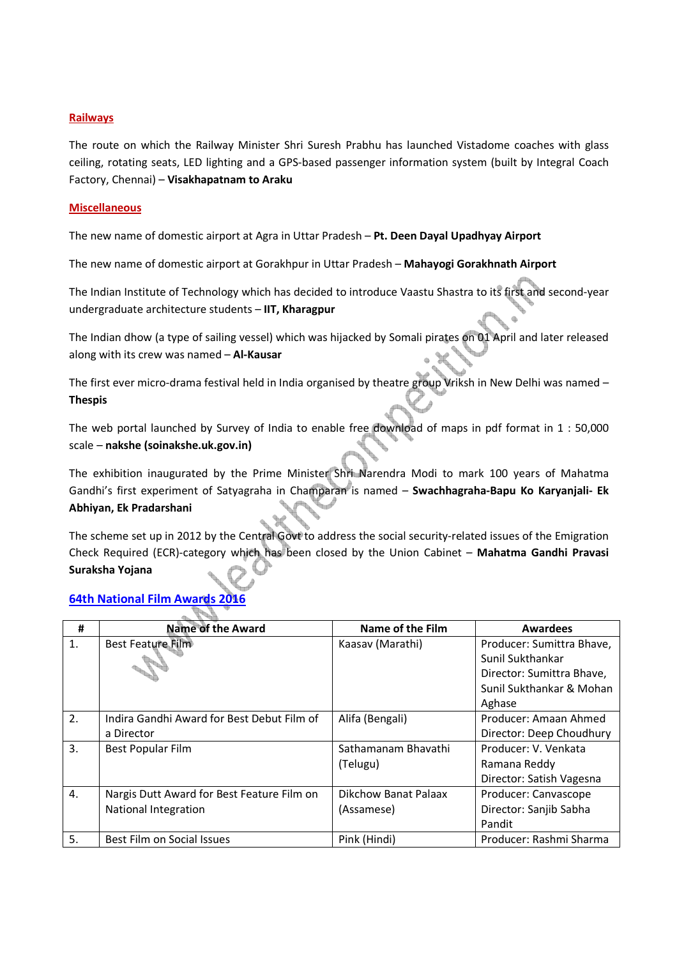## **Railways**

The route on which the Railway Minister Shri Suresh Prabhu has launched Vistadome coaches with glass ceiling, rotating seats, LED lighting and a GPS-based passenger information system (built by Integral Coach Factory, Chennai) – **Visakhapatnam to Araku**

## **Miscellaneous**

The new name of domestic airport at Agra in Uttar Pradesh – **Pt. Deen Dayal Upadhyay Airport**

The new name of domestic airport at Gorakhpur in Uttar Pradesh – **Mahayogi Gorakhnath Airport**

The Indian Institute of Technology which has decided to introduce Vaastu Shastra to its first and second-year undergraduate architecture students – **IIT, Kharagpur**

The Indian dhow (a type of sailing vessel) which was hijacked by Somali pirates on 01 April and later released along with its crew was named – **Al-Kausar**

The first ever micro-drama festival held in India organised by theatre group Vriksh in New Delhi was named – **Thespis**

The web portal launched by Survey of India to enable free download of maps in pdf format in 1 : 50,000 scale – **nakshe (soinakshe.uk.gov.in)**

The exhibition inaugurated by the Prime Minister Shri Narendra Modi to mark 100 years of Mahatma Gandhi's first experiment of Satyagraha in Champaran is named – **Swachhagraha-Bapu Ko Karyanjali- Ek Abhiyan, Ek Pradarshani** 

The scheme set up in 2012 by the Central Govt to address the social security-related issues of the Emigration Check Required (ECR)-category which has been closed by the Union Cabinet – **Mahatma Gandhi Pravasi Suraksha Yojana**

# **64th National Film Awards**

| #                | <b>Name of the Award</b>                   | Name of the Film     | <b>Awardees</b>           |
|------------------|--------------------------------------------|----------------------|---------------------------|
| 1.               | Best Feature Film                          | Kaasav (Marathi)     | Producer: Sumittra Bhave, |
|                  |                                            |                      | Sunil Sukthankar          |
|                  |                                            |                      | Director: Sumittra Bhave, |
|                  |                                            |                      | Sunil Sukthankar & Mohan  |
|                  |                                            |                      | Aghase                    |
| 2.               | Indira Gandhi Award for Best Debut Film of | Alifa (Bengali)      | Producer: Amaan Ahmed     |
|                  | a Director                                 |                      | Director: Deep Choudhury  |
| 3.               | Best Popular Film                          | Sathamanam Bhavathi  | Producer: V. Venkata      |
|                  |                                            | (Telugu)             | Ramana Reddy              |
|                  |                                            |                      | Director: Satish Vagesna  |
| $\overline{4}$ . | Nargis Dutt Award for Best Feature Film on | Dikchow Banat Palaax | Producer: Canvascope      |
|                  | National Integration                       | (Assamese)           | Director: Sanjib Sabha    |
|                  |                                            |                      | Pandit                    |
| 5.               | Best Film on Social Issues                 | Pink (Hindi)         | Producer: Rashmi Sharma   |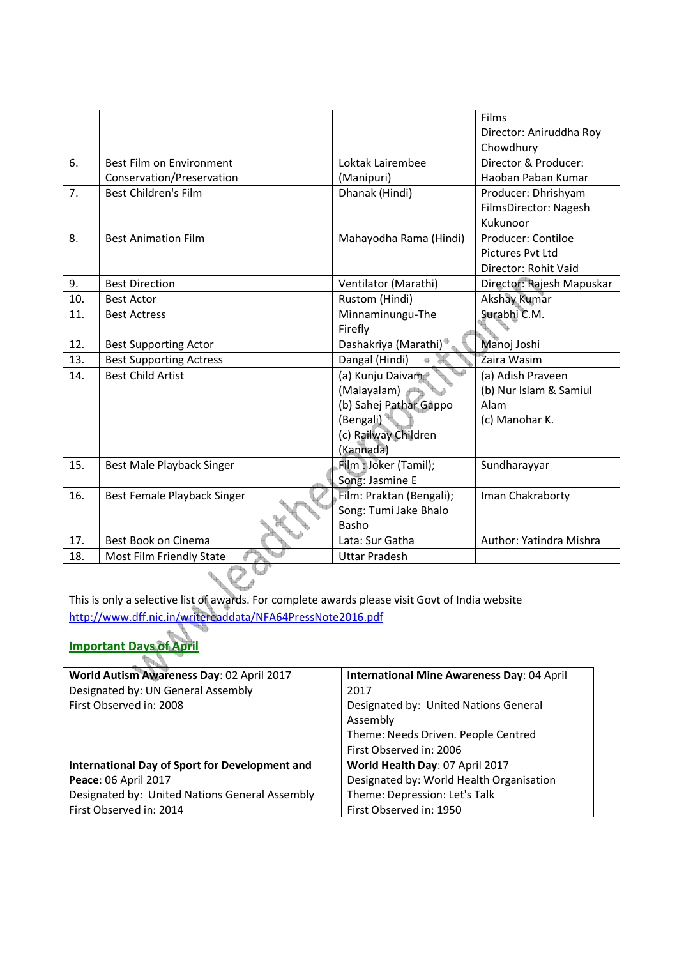|     |                                |                          | Films                     |
|-----|--------------------------------|--------------------------|---------------------------|
|     |                                |                          | Director: Aniruddha Roy   |
|     |                                |                          | Chowdhury                 |
| 6.  | Best Film on Environment       | Loktak Lairembee         | Director & Producer:      |
|     | Conservation/Preservation      | (Manipuri)               | Haoban Paban Kumar        |
| 7.  | <b>Best Children's Film</b>    | Dhanak (Hindi)           | Producer: Dhrishyam       |
|     |                                |                          | FilmsDirector: Nagesh     |
|     |                                |                          | Kukunoor                  |
| 8.  | <b>Best Animation Film</b>     | Mahayodha Rama (Hindi)   | Producer: Contiloe        |
|     |                                |                          | Pictures Pvt Ltd          |
|     |                                |                          | Director: Rohit Vaid      |
| 9.  | <b>Best Direction</b>          | Ventilator (Marathi)     | Director: Rajesh Mapuskar |
| 10. | <b>Best Actor</b>              | Rustom (Hindi)           | <b>Akshay Kumar</b>       |
| 11. | <b>Best Actress</b>            | Minnaminungu-The         | Surabhi C.M.              |
|     |                                | Firefly                  |                           |
| 12. | <b>Best Supporting Actor</b>   | Dashakriya (Marathi)     | Manoj Joshi               |
| 13. | <b>Best Supporting Actress</b> | Dangal (Hindi)           | Zaira Wasim               |
| 14. | <b>Best Child Artist</b>       | (a) Kunju Daivam         | (a) Adish Praveen         |
|     |                                | (Malayalam)              | (b) Nur Islam & Samiul    |
|     |                                | (b) Sahej Pathar Gappo   | Alam                      |
|     |                                | (Bengali)                | (c) Manohar K.            |
|     |                                | (c) Railway Children     |                           |
|     |                                | (Kannada)                |                           |
| 15. | Best Male Playback Singer      | Film : Joker (Tamil);    | Sundharayyar              |
|     |                                | Song: Jasmine E          |                           |
| 16. | Best Female Playback Singer    | Film: Praktan (Bengali); | Iman Chakraborty          |
|     |                                | Song: Tumi Jake Bhalo    |                           |
|     |                                | Basho                    |                           |
| 17. | Best Book on Cinema            | Lata: Sur Gatha          | Author: Yatindra Mishra   |
| 18. | Most Film Friendly State       | <b>Uttar Pradesh</b>     |                           |
|     |                                |                          |                           |

This is only a selective list of awards. For complete awards please visit Govt of India website http://www.dff.nic.in/writereaddata/NFA64PressNote2016.pdf

# **Important Days of April**

| World Autism Awareness Day: 02 April 2017             | International Mine Awareness Day: 04 April |
|-------------------------------------------------------|--------------------------------------------|
| Designated by: UN General Assembly                    | 2017                                       |
| First Observed in: 2008                               | Designated by: United Nations General      |
|                                                       | Assembly                                   |
|                                                       | Theme: Needs Driven. People Centred        |
|                                                       | First Observed in: 2006                    |
| <b>International Day of Sport for Development and</b> | World Health Day: 07 April 2017            |
| Peace: 06 April 2017                                  | Designated by: World Health Organisation   |
| Designated by: United Nations General Assembly        | Theme: Depression: Let's Talk              |
| First Observed in: 2014                               | First Observed in: 1950                    |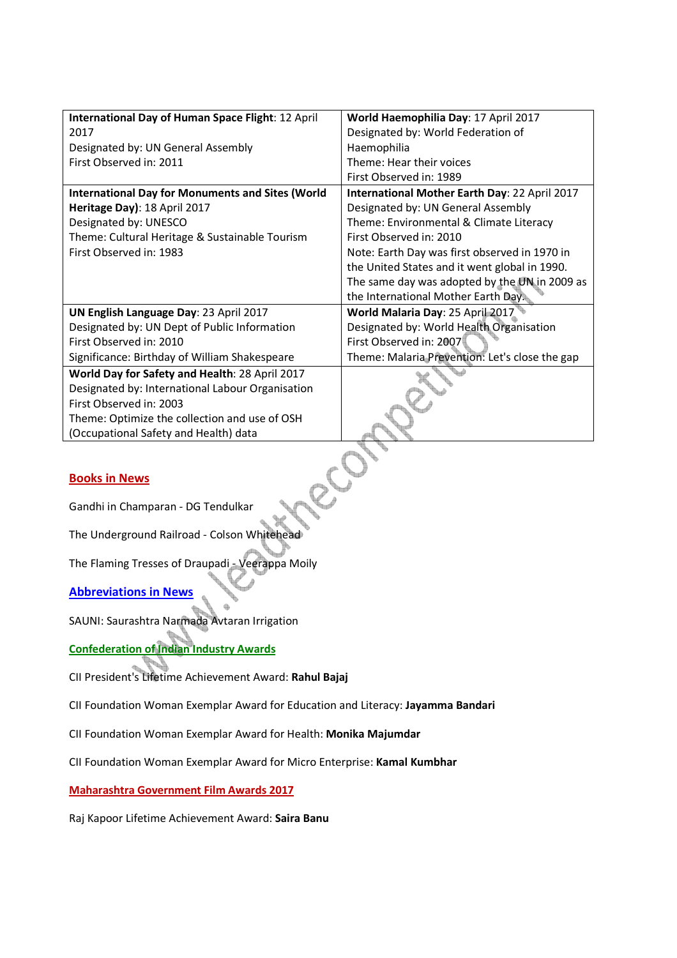| International Day of Human Space Flight: 12 April       | World Haemophilia Day: 17 April 2017           |  |  |  |
|---------------------------------------------------------|------------------------------------------------|--|--|--|
| 2017                                                    | Designated by: World Federation of             |  |  |  |
| Designated by: UN General Assembly                      | Haemophilia                                    |  |  |  |
| First Observed in: 2011                                 | Theme: Hear their voices                       |  |  |  |
|                                                         | First Observed in: 1989                        |  |  |  |
| <b>International Day for Monuments and Sites (World</b> | International Mother Earth Day: 22 April 2017  |  |  |  |
| Heritage Day): 18 April 2017                            | Designated by: UN General Assembly             |  |  |  |
| Designated by: UNESCO                                   | Theme: Environmental & Climate Literacy        |  |  |  |
| Theme: Cultural Heritage & Sustainable Tourism          | First Observed in: 2010                        |  |  |  |
| First Observed in: 1983                                 | Note: Earth Day was first observed in 1970 in  |  |  |  |
|                                                         | the United States and it went global in 1990.  |  |  |  |
|                                                         | The same day was adopted by the UN in 2009 as  |  |  |  |
|                                                         | the International Mother Earth Day             |  |  |  |
| UN English Language Day: 23 April 2017                  | World Malaria Day: 25 April 2017               |  |  |  |
| Designated by: UN Dept of Public Information            | Designated by: World Health Organisation       |  |  |  |
| First Observed in: 2010                                 | First Observed in: 2007                        |  |  |  |
| Significance: Birthday of William Shakespeare           | Theme: Malaria Prevention: Let's close the gap |  |  |  |
| World Day for Safety and Health: 28 April 2017          |                                                |  |  |  |
| Designated by: International Labour Organisation        |                                                |  |  |  |
| First Observed in: 2003                                 |                                                |  |  |  |
| Theme: Optimize the collection and use of OSH           |                                                |  |  |  |
| (Occupational Safety and Health) data                   |                                                |  |  |  |
|                                                         |                                                |  |  |  |
|                                                         |                                                |  |  |  |
| <b>Books in News</b>                                    |                                                |  |  |  |
|                                                         |                                                |  |  |  |
| Candhi in Champaran - DC Tondulkar                      |                                                |  |  |  |

## **Books in News**

Gandhi in Champaran - DG Tendulkar

The Underground Railroad - Colson Whitehead

The Flaming Tresses of Draupadi - Veerappa Moily

## **Abbreviations in News**

SAUNI: Saurashtra Narmada Avtaran Irrigation

# **Confederation of Indian Industry Awards**

CII President's Lifetime Achievement Award: **Rahul Bajaj**

CII Foundation Woman Exemplar Award for Education and Literacy: **Jayamma Bandari**

- CII Foundation Woman Exemplar Award for Health: **Monika Majumdar**
- CII Foundation Woman Exemplar Award for Micro Enterprise: **Kamal Kumbhar**

## **Maharashtra Government Film Awards 2017**

Raj Kapoor Lifetime Achievement Award: **Saira Banu**